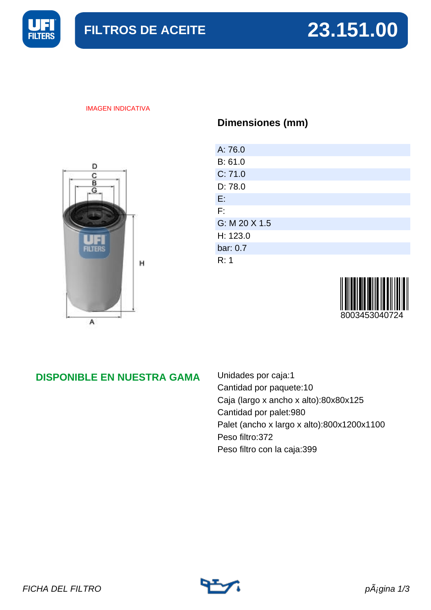

#### IMAGEN INDICATIVA



## **Dimensiones (mm)**

| A: 76.0       |  |
|---------------|--|
| B: 61.0       |  |
| C: 71.0       |  |
| D: 78.0       |  |
| E.            |  |
| F:            |  |
| G: M 20 X 1.5 |  |
| H: 123.0      |  |
| bar: 0.7      |  |
| R: 1          |  |



## **DISPONIBLE EN NUESTRA GAMA**

Unidades por caja:1 Cantidad por paquete:10 Caja (largo x ancho x alto):80x80x125 Cantidad por palet:980 Palet (ancho x largo x alto):800x1200x1100 Peso filtro:372 Peso filtro con la caja:399

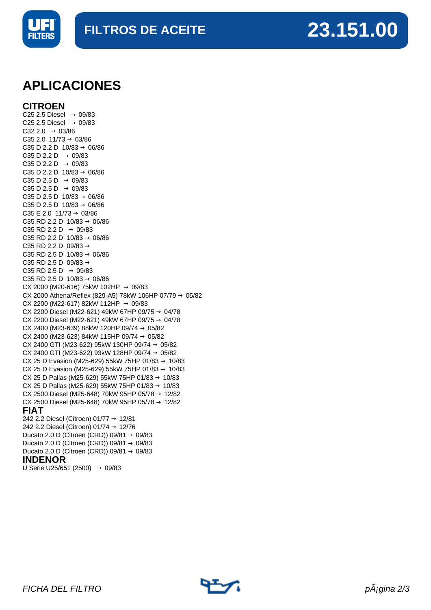



## **APLICACIONES**

**CITROEN**

C25 2.5 Diesel  $\rightarrow$  09/83 C25 2.5 Diesel  $\rightarrow$  09/83  $C32 2.0 \rightarrow 03/86$  $C35 2.0 11/73 \rightarrow 03/86$ C35 D 2.2 D  $10/83 \rightarrow 06/86$ C35 D 2.2 D  $\rightarrow$  09/83 C35 D 2.2 D  $\rightarrow$  09/83 C35 D 2.2 D  $10/83 \rightarrow 06/86$  $C35 D 2.5 D \rightarrow 09/83$  $C35 D 2.5 D \rightarrow 09/83$ C35 D 2.5 D  $10/83 \to 06/86$ C35 D 2.5 D  $10/83 \rightarrow 06/86$ C35 E 2.0 11/73  $\rightarrow$  03/86 C35 RD 2.2 D  $10/83 \rightarrow 06/86$ C35 RD 2.2 D  $\rightarrow$  09/83 C35 RD 2.2 D  $10/83 \rightarrow 06/86$ C35 RD 2.2 D 09/83  $\rightarrow$ C35 RD 2.5 D  $10/83 \rightarrow 06/86$ C35 RD 2.5 D 09/83  $\rightarrow$ C35 RD 2.5 D  $\rightarrow$  09/83 C35 RD 2.5 D  $10/83 \rightarrow 06/86$ CX 2000 (M20-616) 75kW 102HP  $\rightarrow$  09/83 CX 2000 Athena/Reflex (829-A5) 78kW 106HP 07/79  $\rightarrow$  05/82 CX 2200 (M22-617) 82kW 112HP  $\rightarrow$  09/83 CX 2200 Diesel (M22-621) 49kW 67HP 09/75 → 04/78 CX 2200 Diesel (M22-621) 49kW 67HP 09/75 → 04/78 CX 2400 (M23-639) 88kW 120HP 09/74  $\rightarrow$  05/82 CX 2400 (M23-623) 84kW 115HP 09/74  $\rightarrow$  05/82 CX 2400 GTI (M23-622) 95kW 130HP 09/74  $\rightarrow$  05/82 CX 2400 GTI (M23-622) 93kW 128HP 09/74  $\rightarrow$  05/82 CX 25 D Evasion (M25-629) 55kW 75HP 01/83 → 10/83 CX 25 D Evasion (M25-629) 55kW 75HP 01/83 → 10/83 CX 25 D Pallas (M25-629) 55kW 75HP 01/83 → 10/83 CX 25 D Pallas (M25-629) 55kW 75HP 01/83 → 10/83 CX 2500 Diesel (M25-648) 70kW 95HP 05/78 → 12/82 CX 2500 Diesel (M25-648) 70kW 95HP 05/78 → 12/82 **FIAT** 242 2.2 Diesel (Citroen) 01/77 → 12/81 242 2.2 Diesel (Citroen) 01/74 → 12/76 Ducato 2.0 D (Citroen (CRD)) 09/81  $\rightarrow$  09/83

### Ducato 2.0 D (Citroen (CRD)) 09/81  $\rightarrow$  09/83 Ducato 2.0 D (Citroen (CRD)) 09/81  $\rightarrow$  09/83

### **INDENOR**

U Serie U25/651 (2500)  $→$  09/83